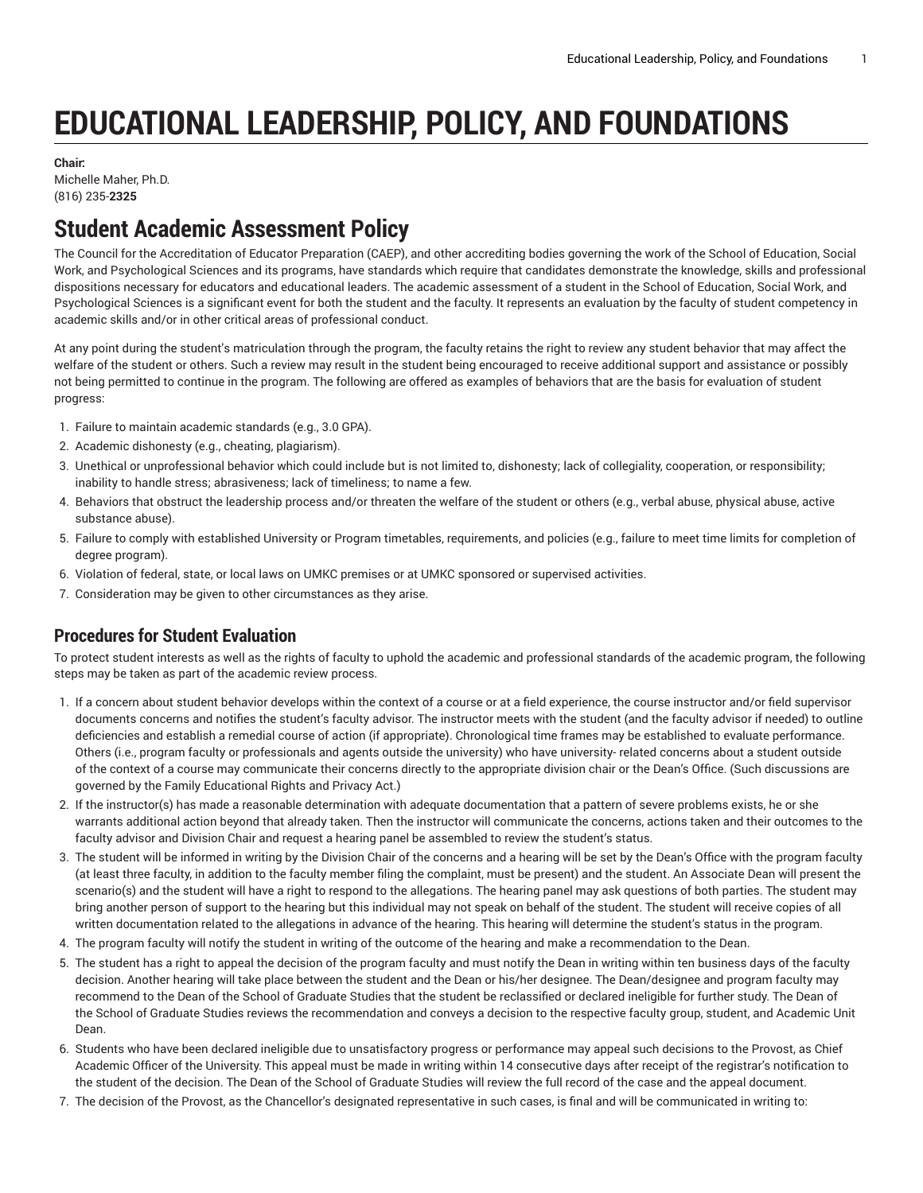# **EDUCATIONAL LEADERSHIP, POLICY, AND FOUNDATIONS**

#### **Chair:**

Michelle Maher, Ph.D. (816) 235-**2325**

## **Student Academic Assessment Policy**

The Council for the Accreditation of Educator Preparation (CAEP), and other accrediting bodies governing the work of the School of Education, Social Work, and Psychological Sciences and its programs, have standards which require that candidates demonstrate the knowledge, skills and professional dispositions necessary for educators and educational leaders. The academic assessment of a student in the School of Education, Social Work, and Psychological Sciences is a significant event for both the student and the faculty. It represents an evaluation by the faculty of student competency in academic skills and/or in other critical areas of professional conduct.

At any point during the student's matriculation through the program, the faculty retains the right to review any student behavior that may affect the welfare of the student or others. Such a review may result in the student being encouraged to receive additional support and assistance or possibly not being permitted to continue in the program. The following are offered as examples of behaviors that are the basis for evaluation of student progress:

- 1. Failure to maintain academic standards (e.g., 3.0 GPA).
- 2. Academic dishonesty (e.g., cheating, plagiarism).
- 3. Unethical or unprofessional behavior which could include but is not limited to, dishonesty; lack of collegiality, cooperation, or responsibility; inability to handle stress; abrasiveness; lack of timeliness; to name a few.
- 4. Behaviors that obstruct the leadership process and/or threaten the welfare of the student or others (e.g., verbal abuse, physical abuse, active substance abuse).
- 5. Failure to comply with established University or Program timetables, requirements, and policies (e.g., failure to meet time limits for completion of degree program).
- 6. Violation of federal, state, or local laws on UMKC premises or at UMKC sponsored or supervised activities.
- 7. Consideration may be given to other circumstances as they arise.

#### **Procedures for Student Evaluation**

To protect student interests as well as the rights of faculty to uphold the academic and professional standards of the academic program, the following steps may be taken as part of the academic review process.

- 1. If a concern about student behavior develops within the context of a course or at a field experience, the course instructor and/or field supervisor documents concerns and notifies the student's faculty advisor. The instructor meets with the student (and the faculty advisor if needed) to outline deficiencies and establish a remedial course of action (if appropriate). Chronological time frames may be established to evaluate performance. Others (i.e., program faculty or professionals and agents outside the university) who have university- related concerns about a student outside of the context of a course may communicate their concerns directly to the appropriate division chair or the Dean's Office. (Such discussions are governed by the Family Educational Rights and Privacy Act.)
- 2. If the instructor(s) has made a reasonable determination with adequate documentation that a pattern of severe problems exists, he or she warrants additional action beyond that already taken. Then the instructor will communicate the concerns, actions taken and their outcomes to the faculty advisor and Division Chair and request a hearing panel be assembled to review the student's status.
- 3. The student will be informed in writing by the Division Chair of the concerns and a hearing will be set by the Dean's Office with the program faculty (at least three faculty, in addition to the faculty member filing the complaint, must be present) and the student. An Associate Dean will present the scenario(s) and the student will have a right to respond to the allegations. The hearing panel may ask questions of both parties. The student may bring another person of support to the hearing but this individual may not speak on behalf of the student. The student will receive copies of all written documentation related to the allegations in advance of the hearing. This hearing will determine the student's status in the program.
- 4. The program faculty will notify the student in writing of the outcome of the hearing and make a recommendation to the Dean.
- 5. The student has a right to appeal the decision of the program faculty and must notify the Dean in writing within ten business days of the faculty decision. Another hearing will take place between the student and the Dean or his/her designee. The Dean/designee and program faculty may recommend to the Dean of the School of Graduate Studies that the student be reclassified or declared ineligible for further study. The Dean of the School of Graduate Studies reviews the recommendation and conveys a decision to the respective faculty group, student, and Academic Unit Dean.
- 6. Students who have been declared ineligible due to unsatisfactory progress or performance may appeal such decisions to the Provost, as Chief Academic Officer of the University. This appeal must be made in writing within 14 consecutive days after receipt of the registrar's notification to the student of the decision. The Dean of the School of Graduate Studies will review the full record of the case and the appeal document.
- 7. The decision of the Provost, as the Chancellor's designated representative in such cases, is final and will be communicated in writing to: